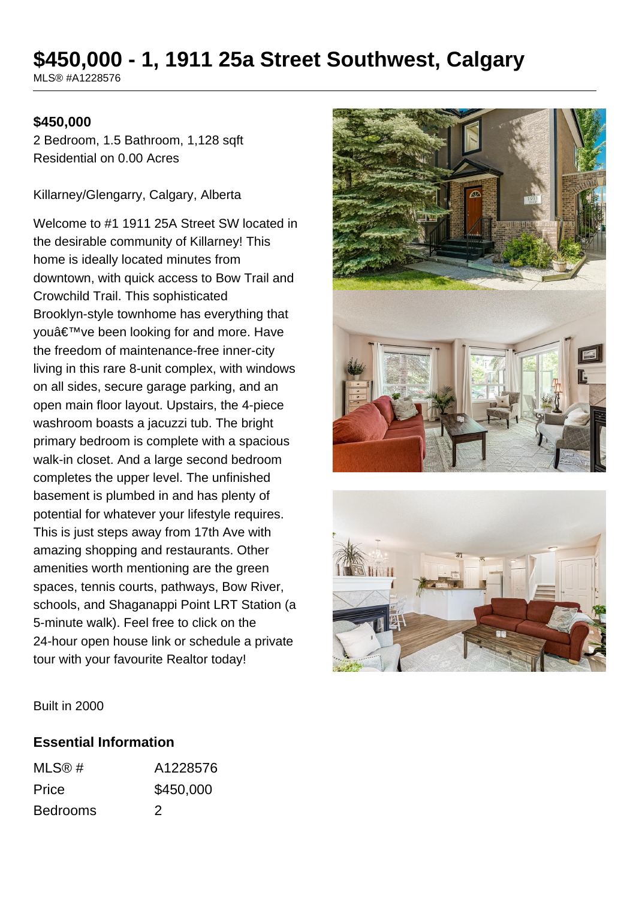# **\$450,000 - 1, 1911 25a Street Southwest, Calgary**

MLS® #A1228576

#### **\$450,000**

2 Bedroom, 1.5 Bathroom, 1,128 sqft Residential on 0.00 Acres

Killarney/Glengarry, Calgary, Alberta

Welcome to #1 1911 25A Street SW located in the desirable community of Killarney! This home is ideally located minutes from downtown, with quick access to Bow Trail and Crowchild Trail. This sophisticated Brooklyn-style townhome has everything that you've been looking for and more. Have the freedom of maintenance-free inner-city living in this rare 8-unit complex, with windows on all sides, secure garage parking, and an open main floor layout. Upstairs, the 4-piece washroom boasts a jacuzzi tub. The bright primary bedroom is complete with a spacious walk-in closet. And a large second bedroom completes the upper level. The unfinished basement is plumbed in and has plenty of potential for whatever your lifestyle requires. This is just steps away from 17th Ave with amazing shopping and restaurants. Other amenities worth mentioning are the green spaces, tennis courts, pathways, Bow River, schools, and Shaganappi Point LRT Station (a 5-minute walk). Feel free to click on the 24-hour open house link or schedule a private tour with your favourite Realtor today!





Built in 2000

#### **Essential Information**

| MLS@#           | A1228576      |
|-----------------|---------------|
| Price           | \$450,000     |
| <b>Bedrooms</b> | $\mathcal{P}$ |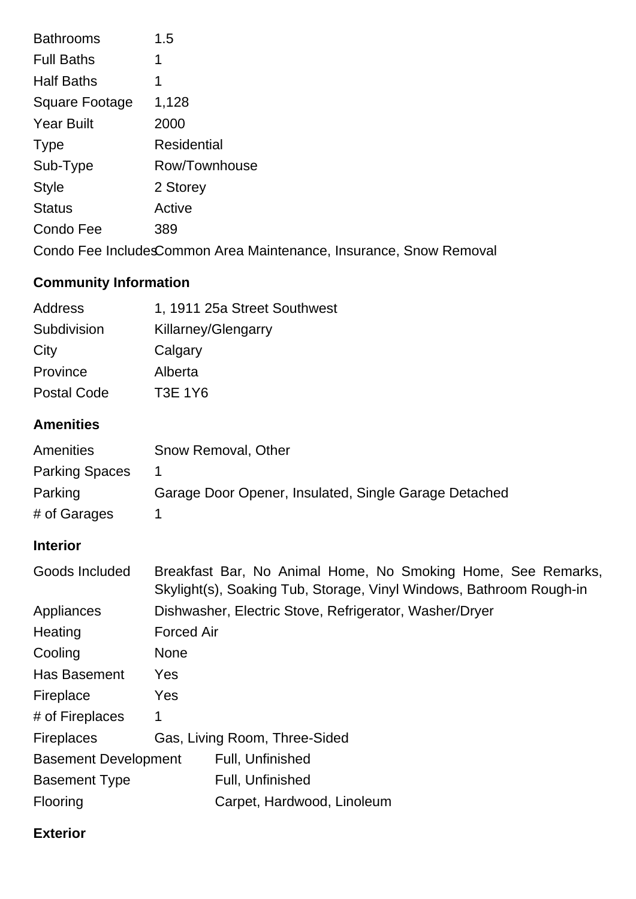| <b>Bathrooms</b>                                                   | 1.5                |  |
|--------------------------------------------------------------------|--------------------|--|
| <b>Full Baths</b>                                                  | 1                  |  |
| <b>Half Baths</b>                                                  | 1                  |  |
| Square Footage                                                     | 1,128              |  |
| <b>Year Built</b>                                                  | 2000               |  |
| <b>Type</b>                                                        | <b>Residential</b> |  |
| Sub-Type                                                           | Row/Townhouse      |  |
| <b>Style</b>                                                       | 2 Storey           |  |
| <b>Status</b>                                                      | Active             |  |
| Condo Fee                                                          | 389                |  |
| Condo Fee IncludesCommon Area Maintenance, Insurance, Snow Removal |                    |  |

# **Community Information**

| Address            | 1, 1911 25a Street Southwest |
|--------------------|------------------------------|
| Subdivision        | <b>Killarney/Glengarry</b>   |
| City               | Calgary                      |
| Province           | Alberta                      |
| <b>Postal Code</b> | <b>T3E 1Y6</b>               |

### **Amenities**

| Amenities             | Snow Removal, Other                                   |
|-----------------------|-------------------------------------------------------|
| <b>Parking Spaces</b> |                                                       |
| Parking               | Garage Door Opener, Insulated, Single Garage Detached |
| # of Garages          |                                                       |

## **Interior**

| Goods Included              |                                                        | Breakfast Bar, No Animal Home, No Smoking Home, See Remarks,<br>Skylight(s), Soaking Tub, Storage, Vinyl Windows, Bathroom Rough-in |  |
|-----------------------------|--------------------------------------------------------|-------------------------------------------------------------------------------------------------------------------------------------|--|
| Appliances                  | Dishwasher, Electric Stove, Refrigerator, Washer/Dryer |                                                                                                                                     |  |
| Heating                     | <b>Forced Air</b>                                      |                                                                                                                                     |  |
| Cooling                     | <b>None</b>                                            |                                                                                                                                     |  |
| Has Basement                | Yes                                                    |                                                                                                                                     |  |
| Fireplace                   | <b>Yes</b>                                             |                                                                                                                                     |  |
| # of Fireplaces             | 1                                                      |                                                                                                                                     |  |
| <b>Fireplaces</b>           |                                                        | Gas, Living Room, Three-Sided                                                                                                       |  |
| <b>Basement Development</b> |                                                        | Full, Unfinished                                                                                                                    |  |
| <b>Basement Type</b>        |                                                        | Full, Unfinished                                                                                                                    |  |
| <b>Flooring</b>             |                                                        | Carpet, Hardwood, Linoleum                                                                                                          |  |

# **Exterior**